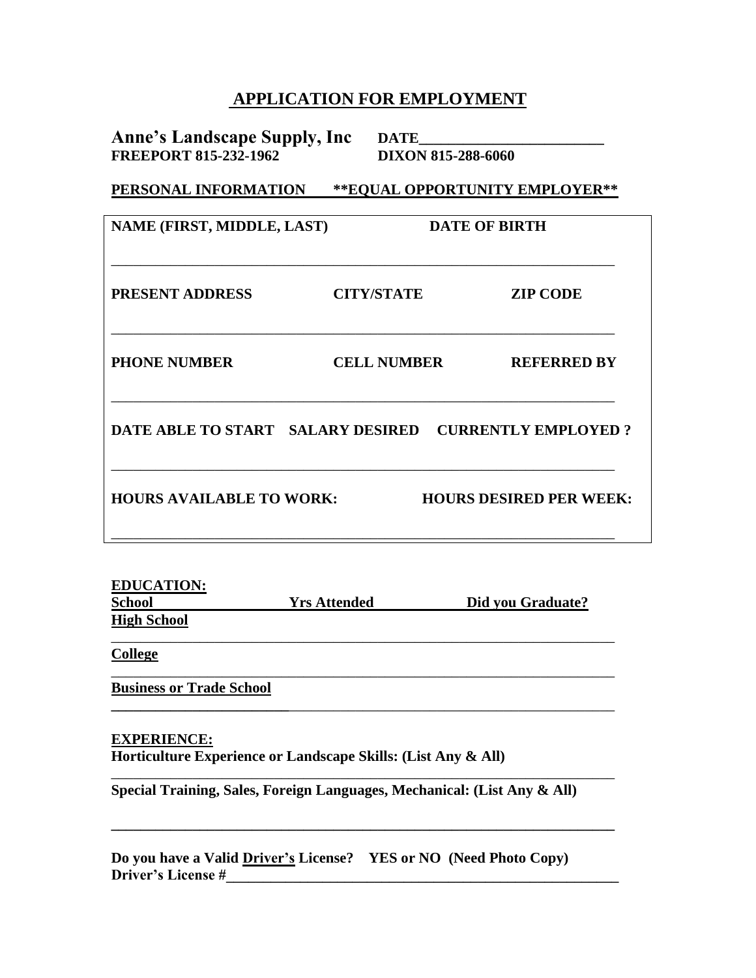## **APPLICATION FOR EMPLOYMENT**

**Anne's Landscape Supply, Inc DATE\_\_\_\_\_\_\_\_\_\_\_\_\_\_\_\_\_\_\_\_\_\_\_\_\_ FREEPORT 815-232-1962 DIXON 815-288-6060**

**PERSONAL INFORMATION \*\*EQUAL OPPORTUNITY EMPLOYER\*\***

| NAME (FIRST, MIDDLE, LAST)                            |                    | <b>DATE OF BIRTH</b> |                                |
|-------------------------------------------------------|--------------------|----------------------|--------------------------------|
| <b>PRESENT ADDRESS</b>                                | <b>CITY/STATE</b>  |                      | <b>ZIP CODE</b>                |
| <b>PHONE NUMBER</b>                                   | <b>CELL NUMBER</b> |                      | <b>REFERRED BY</b>             |
| DATE ABLE TO START SALARY DESIRED CURRENTLY EMPLOYED? |                    |                      |                                |
| <b>HOURS AVAILABLE TO WORK:</b>                       |                    |                      | <b>HOURS DESIRED PER WEEK:</b> |

| <b>EDUCATION:</b>  |                     |                   |
|--------------------|---------------------|-------------------|
| <b>School</b>      | <b>Yrs Attended</b> | Did you Graduate? |
| <b>High School</b> |                     |                   |
|                    |                     |                   |

\_\_\_\_\_\_\_\_\_\_\_\_\_\_\_\_\_\_\_\_\_\_\_\_\_\_\_\_\_\_\_\_\_\_\_\_\_\_\_\_\_\_\_\_\_\_\_\_\_\_\_\_\_\_\_\_\_\_\_\_\_\_\_\_\_\_\_\_

**\_\_\_\_\_\_\_\_\_\_\_\_\_\_\_\_\_\_\_\_\_\_\_\_**\_\_\_\_\_\_\_\_\_\_\_\_\_\_\_\_\_\_\_\_\_\_\_\_\_\_\_\_\_\_\_\_\_\_\_\_\_\_\_\_\_\_\_\_

\_\_\_\_\_\_\_\_\_\_\_\_\_\_\_\_\_\_\_\_\_\_\_\_\_\_\_\_\_\_\_\_\_\_\_\_\_\_\_\_\_\_\_\_\_\_\_\_\_\_\_\_\_\_\_\_\_\_\_\_\_\_\_\_\_\_\_\_

**\_\_\_\_\_\_\_\_\_\_\_\_\_\_\_\_\_\_\_\_\_\_\_\_\_\_\_\_\_\_\_\_\_\_\_\_\_\_\_\_\_\_\_\_\_\_\_\_\_\_\_\_\_\_\_\_\_\_\_\_\_\_\_\_\_\_\_\_**

**College**

**Business or Trade School**

## **EXPERIENCE:**

**Horticulture Experience or Landscape Skills: (List Any & All)**

**Special Training, Sales, Foreign Languages, Mechanical: (List Any & All)**

**Do you have a Valid Driver's License? YES or NO (Need Photo Copy) Driver's License #\_\_\_\_\_\_\_\_\_\_\_\_\_\_\_\_\_\_\_\_\_\_\_\_\_\_\_\_\_\_\_\_\_\_\_\_\_\_\_\_\_\_\_\_\_\_\_\_\_\_\_\_\_**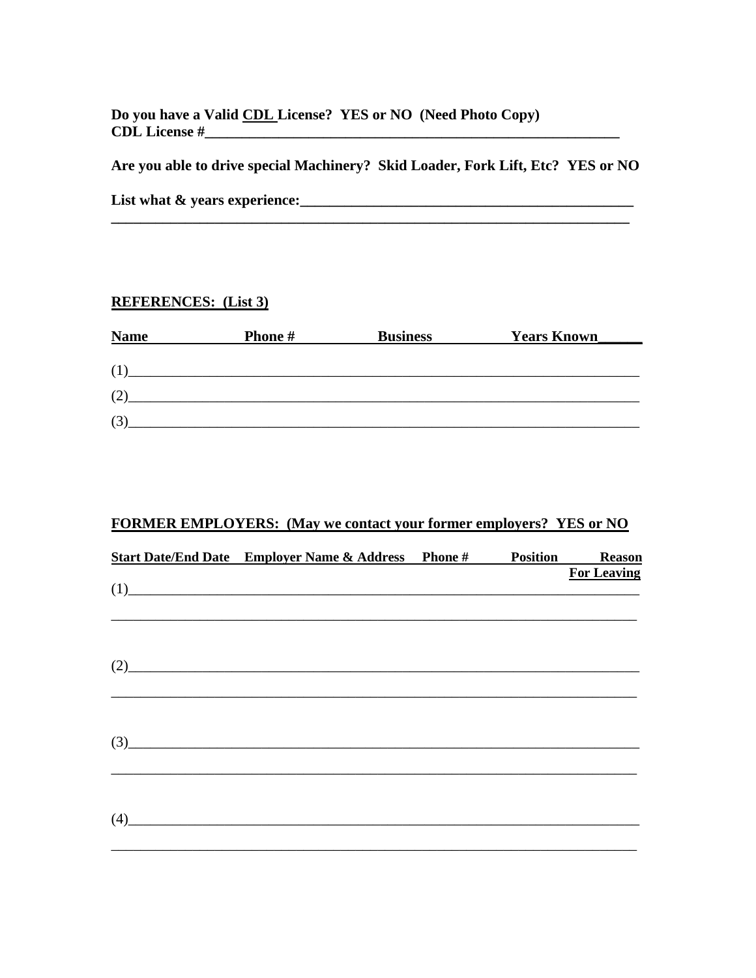Do you have a Valid CDL License? YES or NO (Need Photo Copy)  $CDL$  License  $\#$ 

Are you able to drive special Machinery? Skid Loader, Fork Lift, Etc? YES or NO

## **REFERENCES:** (List 3)

| <b>Name</b> | <b>Phone#</b> | <b>Business</b> | <b>Years Known</b> |
|-------------|---------------|-----------------|--------------------|
|             |               |                 |                    |
|             |               |                 |                    |
| 17          |               |                 |                    |
|             |               |                 |                    |

## **FORMER EMPLOYERS:** (May we contact your former employers? YES or NO

|     | <b>Start Date/End Date</b> Employer Name & Address Phone # | <b>Position</b> | <b>Reason</b>      |
|-----|------------------------------------------------------------|-----------------|--------------------|
|     |                                                            |                 | <b>For Leaving</b> |
|     | (1)                                                        |                 |                    |
|     |                                                            |                 |                    |
| (2) |                                                            |                 |                    |
|     |                                                            |                 |                    |
|     |                                                            |                 |                    |
|     | $\left(3\right)$                                           |                 |                    |
|     |                                                            |                 |                    |
| (4) |                                                            |                 |                    |
|     |                                                            |                 |                    |